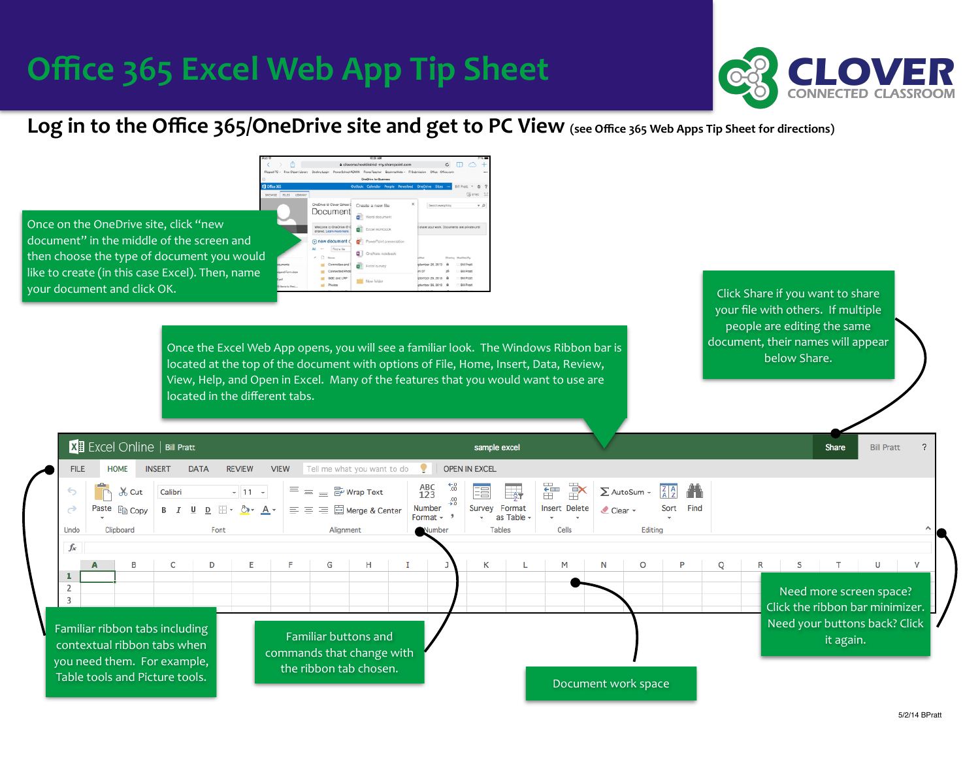### **Office 365 Excel Web App Tip Sheet**



#### Log in to the Office 365/OneDrive site and get to PC View (see Office 365 Web Apps Tip Sheet for directions)

 $c \Box$ 

Bit Prett

Bil Pratt

Bill Pratt

Bil Pratt

ber 26, 2013 B

Once on the OneDrive site, click "new document" in the middle of the screen and then choose the type of document you would like to create (in this case Excel). Then, name your document and click OK.

> Once the Excel Web App opens, you will see a familiar look. The Windows Ribbon bar is located at the top of the document with options of File, Home, Insert, Data, Review, View, Help, and Open in Excel. Many of the features that you would want to use are located in the different tabs.

Create a new file

**Excel surve** 

New folder

Document

Find a fi

GBE and LRF

Click Share if you want to share your file with others. If multiple people are editing the same document, their names will appear below Share.

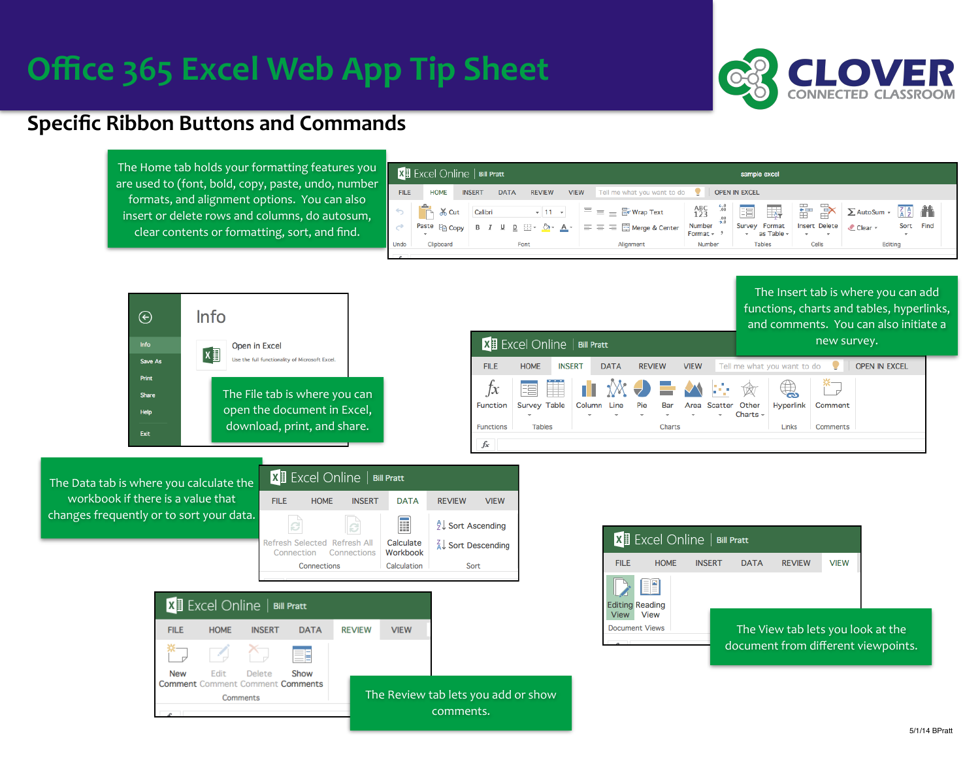# **Office 365 Excel Web App Tip Sheet**



#### **Specific Ribbon Buttons and Commands**

The Home tab holds your formatting features you are used to (font, bold, copy, paste, undo, number formats, and alignment options. You can also insert or delete rows and columns, do autosum, clear contents or formatting, sort, and find.

| $\mathbf{X}$ Excel Online   Bill Pratt |                                                  |               |             |                                                        |             | sample excel                                       |                                 |                                  |                      |                             |       |                                |                         |      |      |
|----------------------------------------|--------------------------------------------------|---------------|-------------|--------------------------------------------------------|-------------|----------------------------------------------------|---------------------------------|----------------------------------|----------------------|-----------------------------|-------|--------------------------------|-------------------------|------|------|
| <b>FILE</b>                            | <b>HOME</b>                                      | <b>INSERT</b> | <b>DATA</b> | <b>REVIEW</b>                                          | <b>VIEW</b> | Tell me what you want to do $\left  \cdot \right $ |                                 |                                  | <b>OPEN IN EXCEL</b> |                             |       |                                |                         |      |      |
|                                        | والألواء<br>$66$ Cut<br>$\overline{\phantom{a}}$ | Calibri       |             |                                                        |             | $\dot{=}$ $\equiv$ $\frac{m}{m}$ Wrap Text<br>Ξ    | ABC<br>123                      | $^{+.0}_{00}$<br>$^{+00}_{-0.0}$ | 囯                    | $\overline{\mathbb{F}}$     | 뚊     | r                              | $\Sigma$ AutoSum $\sim$ | 79   |      |
| $\overrightarrow{C}$                   | Paste <b>Fig Copy</b>                            |               |             | B $I \sqcup \underline{D} \sqcup \neg \Diamond \neg A$ |             | $\equiv \equiv \equiv \equiv$ Merge & Center       | Number<br>Format $ \frac{9}{2}$ |                                  | ÷                    | Survey Format<br>as Table - | ۰.    | <b>Insert Delete</b><br>$\sim$ | Clear -                 | Sort | Find |
| Undo                                   | Clipboard                                        | Font          |             |                                                        |             | Alianment                                          | Number                          |                                  | <b>Tables</b>        |                             | Cells |                                | Editing                 |      |      |
|                                        |                                                  |               |             |                                                        |             |                                                    |                                 |                                  |                      |                             |       |                                |                         |      |      |